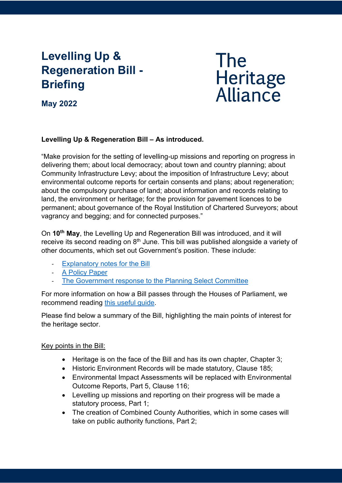# **Levelling Up & Regeneration Bill - Briefing**

# **The** Heritage<br>Alliance

**May 2022**

# **Levelling Up & Regeneration Bill – As introduced.**

"Make provision for the setting of levelling-up missions and reporting on progress in delivering them; about local democracy; about town and country planning; about Community Infrastructure Levy; about the imposition of Infrastructure Levy; about environmental outcome reports for certain consents and plans; about regeneration; about the compulsory purchase of land; about information and records relating to land, the environment or heritage; for the provision for pavement licences to be permanent; about governance of the Royal Institution of Chartered Surveyors; about vagrancy and begging; and for connected purposes."

On **10th May**, the Levelling Up and Regeneration Bill was introduced, and it will receive its second reading on 8<sup>th</sup> June. This bill was published alongside a variety of other documents, which set out Government's position. These include:

- [Explanatory notes for the Bill](https://publications.parliament.uk/pa/bills/cbill/58-03/0006/en/220006en.pdf)
- [A Policy Paper](https://www.gov.uk/government/publications/levelling-up-and-regeneration-further-information)
- The Government response to the Planning Select Committee

For more information on how a Bill passes through the Houses of Parliament, we recommend reading [this useful guide.](https://www.parliament.uk/about/how/laws/)

Please find below a summary of the Bill, highlighting the main points of interest for the heritage sector.

# Key points in the Bill:

- Heritage is on the face of the Bill and has its own chapter, Chapter 3;
- Historic Environment Records will be made statutory, Clause 185;
- Environmental Impact Assessments will be replaced with Environmental Outcome Reports, Part 5, Clause 116;
- Levelling up missions and reporting on their progress will be made a statutory process, Part 1;
- The creation of Combined County Authorities, which in some cases will take on public authority functions, Part 2;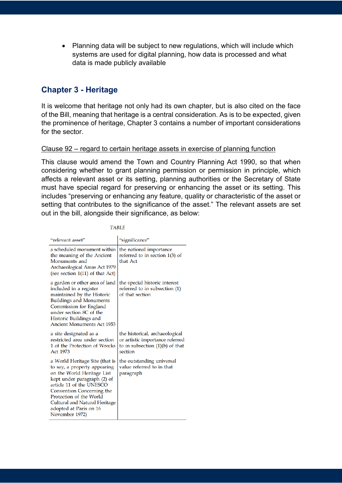• Planning data will be subject to new regulations, which will include which systems are used for digital planning, how data is processed and what data is made publicly available

# **Chapter 3 - Heritage**

It is welcome that heritage not only had its own chapter, but is also cited on the face of the Bill, meaning that heritage is a central consideration. As is to be expected, given the prominence of heritage, Chapter 3 contains a number of important considerations for the sector.

#### Clause 92 – regard to certain heritage assets in exercise of planning function

This clause would amend the Town and Country Planning Act 1990, so that when considering whether to grant planning permission or permission in principle, which affects a relevant asset or its setting, planning authorities or the Secretary of State must have special regard for preserving or enhancing the asset or its setting. This includes "preserving or enhancing any feature, quality or characteristic of the asset or setting that contributes to the significance of the asset." The relevant assets are set out in the bill, alongside their significance, as below:

**TABLE** 

| "relevant asset"                                                                                                                                                                                                                                                                             | "significance"                                                                                                    |
|----------------------------------------------------------------------------------------------------------------------------------------------------------------------------------------------------------------------------------------------------------------------------------------------|-------------------------------------------------------------------------------------------------------------------|
| a scheduled monument within<br>the meaning of the Ancient<br>Monuments and<br>Archaeological Areas Act 1979<br>(see section $1(11)$ of that Act)                                                                                                                                             | the national importance<br>referred to in section $1(3)$ of<br>that Act                                           |
| a garden or other area of land<br>included in a register<br>maintained by the Historic<br><b>Buildings and Monuments</b><br>Commission for England<br>under section 8C of the<br>Historic Buildings and<br><b>Ancient Monuments Act 1953</b>                                                 | the special historic interest<br>referred to in subsection (1)<br>of that section                                 |
| a site designated as a<br>restricted area under section<br>1 of the Protection of Wrecks<br>Act 1973                                                                                                                                                                                         | the historical, archaeological<br>or artistic importance referred<br>to in subsection $(1)(b)$ of that<br>section |
| a World Heritage Site (that is<br>to say, a property appearing<br>on the World Heritage List<br>kept under paragraph (2) of<br>article 11 of the UNESCO<br>Convention Concerning the<br>Protection of the World<br>Cultural and Natural Heritage<br>adopted at Paris on 16<br>November 1972) | the outstanding universal<br>value referred to in that<br>paragraph                                               |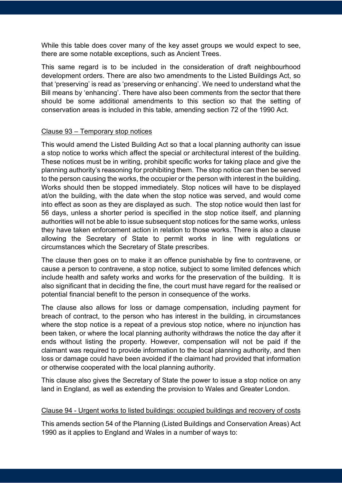While this table does cover many of the key asset groups we would expect to see, there are some notable exceptions, such as Ancient Trees.

This same regard is to be included in the consideration of draft neighbourhood development orders. There are also two amendments to the Listed Buildings Act, so that 'preserving' is read as 'preserving or enhancing'. We need to understand what the Bill means by 'enhancing'. There have also been comments from the sector that there should be some additional amendments to this section so that the setting of conservation areas is included in this table, amending section 72 of the 1990 Act.

#### Clause 93 – Temporary stop notices

This would amend the Listed Building Act so that a local planning authority can issue a stop notice to works which affect the special or architectural interest of the building. These notices must be in writing, prohibit specific works for taking place and give the planning authority's reasoning for prohibiting them. The stop notice can then be served to the person causing the works, the occupier or the person with interest in the building. Works should then be stopped immediately. Stop notices will have to be displayed at/on the building, with the date when the stop notice was served, and would come into effect as soon as they are displayed as such. The stop notice would then last for 56 days, unless a shorter period is specified in the stop notice itself, and planning authorities will not be able to issue subsequent stop notices for the same works, unless they have taken enforcement action in relation to those works. There is also a clause allowing the Secretary of State to permit works in line with regulations or circumstances which the Secretary of State prescribes.

The clause then goes on to make it an offence punishable by fine to contravene, or cause a person to contravene, a stop notice, subject to some limited defences which include health and safety works and works for the preservation of the building. It is also significant that in deciding the fine, the court must have regard for the realised or potential financial benefit to the person in consequence of the works.

The clause also allows for loss or damage compensation, including payment for breach of contract, to the person who has interest in the building, in circumstances where the stop notice is a repeat of a previous stop notice, where no injunction has been taken, or where the local planning authority withdraws the notice the day after it ends without listing the property. However, compensation will not be paid if the claimant was required to provide information to the local planning authority, and then loss or damage could have been avoided if the claimant had provided that information or otherwise cooperated with the local planning authority.

This clause also gives the Secretary of State the power to issue a stop notice on any land in England, as well as extending the provision to Wales and Greater London.

#### Clause 94 - Urgent works to listed buildings: occupied buildings and recovery of costs

This amends section 54 of the Planning (Listed Buildings and Conservation Areas) Act 1990 as it applies to England and Wales in a number of ways to: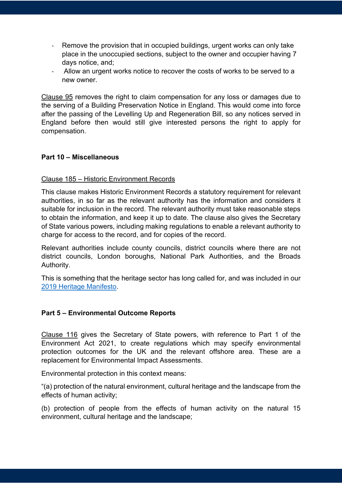- Remove the provision that in occupied buildings, urgent works can only take place in the unoccupied sections, subject to the owner and occupier having 7 days notice, and;
- Allow an urgent works notice to recover the costs of works to be served to a new owner.

Clause 95 removes the right to claim compensation for any loss or damages due to the serving of a Building Preservation Notice in England. This would come into force after the passing of the Levelling Up and Regeneration Bill, so any notices served in England before then would still give interested persons the right to apply for compensation.

# **Part 10 – Miscellaneous**

#### Clause 185 – Historic Environment Records

This clause makes Historic Environment Records a statutory requirement for relevant authorities, in so far as the relevant authority has the information and considers it suitable for inclusion in the record. The relevant authority must take reasonable steps to obtain the information, and keep it up to date. The clause also gives the Secretary of State various powers, including making regulations to enable a relevant authority to charge for access to the record, and for copies of the record.

Relevant authorities include county councils, district councils where there are not district councils, London boroughs, National Park Authorities, and the Broads Authority.

This is something that the heritage sector has long called for, and was included in our [2019 Heritage Manifesto.](https://www.theheritagealliance.org.uk/wp-content/uploads/2021/02/Manifesto-2019.pdf)

#### **Part 5 – Environmental Outcome Reports**

Clause 116 gives the Secretary of State powers, with reference to Part 1 of the Environment Act 2021, to create regulations which may specify environmental protection outcomes for the UK and the relevant offshore area. These are a replacement for Environmental Impact Assessments.

Environmental protection in this context means:

"(a) protection of the natural environment, cultural heritage and the landscape from the effects of human activity;

(b) protection of people from the effects of human activity on the natural 15 environment, cultural heritage and the landscape;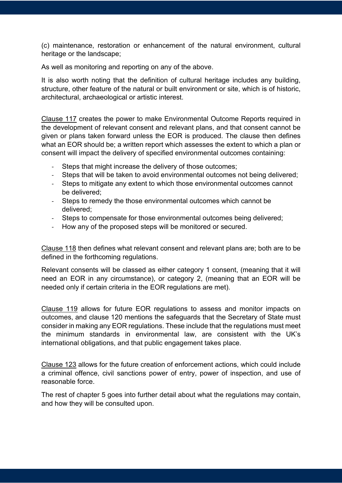(c) maintenance, restoration or enhancement of the natural environment, cultural heritage or the landscape;

As well as monitoring and reporting on any of the above.

It is also worth noting that the definition of cultural heritage includes any building, structure, other feature of the natural or built environment or site, which is of historic, architectural, archaeological or artistic interest.

Clause 117 creates the power to make Environmental Outcome Reports required in the development of relevant consent and relevant plans, and that consent cannot be given or plans taken forward unless the EOR is produced. The clause then defines what an EOR should be; a written report which assesses the extent to which a plan or consent will impact the delivery of specified environmental outcomes containing:

- Steps that might increase the delivery of those outcomes:
- Steps that will be taken to avoid environmental outcomes not being delivered;
- Steps to mitigate any extent to which those environmental outcomes cannot be delivered;
- Steps to remedy the those environmental outcomes which cannot be delivered;
- Steps to compensate for those environmental outcomes being delivered;
- How any of the proposed steps will be monitored or secured.

Clause 118 then defines what relevant consent and relevant plans are; both are to be defined in the forthcoming regulations.

Relevant consents will be classed as either category 1 consent, (meaning that it will need an EOR in any circumstance), or category 2, (meaning that an EOR will be needed only if certain criteria in the EOR regulations are met).

Clause 119 allows for future EOR regulations to assess and monitor impacts on outcomes, and clause 120 mentions the safeguards that the Secretary of State must consider in making any EOR regulations. These include that the regulations must meet the minimum standards in environmental law, are consistent with the UK's international obligations, and that public engagement takes place.

Clause 123 allows for the future creation of enforcement actions, which could include a criminal offence, civil sanctions power of entry, power of inspection, and use of reasonable force.

The rest of chapter 5 goes into further detail about what the regulations may contain, and how they will be consulted upon.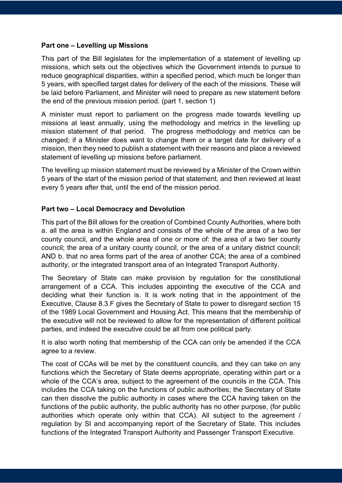#### **Part one – Levelling up Missions**

This part of the Bill legislates for the implementation of a statement of levelling up missions, which sets out the objectives which the Government intends to pursue to reduce geographical disparities, within a specified period, which much be longer than 5 years, with specified target dates for delivery of the each of the missions. These will be laid before Parliament, and Minister will need to prepare as new statement before the end of the previous mission period. (part 1, section 1)

A minister must report to parliament on the progress made towards levelling up missions at least annually, using the methodology and metrics in the levelling up mission statement of that period. The progress methodology and metrics can be changed; if a Minister does want to change them or a target date for delivery of a mission, then they need to publish a statement with their reasons and place a reviewed statement of levelling up missions before parliament.

The levelling up mission statement must be reviewed by a Minister of the Crown within 5 years of the start of the mission period of that statement, and then reviewed at least every 5 years after that, until the end of the mission period.

#### **Part two – Local Democracy and Devolution**

This part of the Bill allows for the creation of Combined County Authorities, where both a. all the area is within England and consists of the whole of the area of a two tier county council, and the whole area of one or more of: the area of a two tier county council; the area of a unitary county council, or the area of a unitary district council; AND b. that no area forms part of the area of another CCA; the area of a combined authority, or the integrated transport area of an Integrated Transport Authority.

The Secretary of State can make provision by regulation for the constitutional arrangement of a CCA. This includes appointing the executive of the CCA and deciding what their function is. It is work noting that in the appointment of the Executive, Clause 8.3.F gives the Secretary of State to power to disregard section 15 of the 1989 Local Government and Housing Act. This means that the membership of the executive will not be reviewed to allow for the representation of different political parties, and indeed the executive could be all from one political party.

It is also worth noting that membership of the CCA can only be amended if the CCA agree to a review.

The cost of CCAs will be met by the constituent councils, and they can take on any functions which the Secretary of State deems appropriate, operating within part or a whole of the CCA's area, subject to the agreement of the councils in the CCA. This includes the CCA taking on the functions of public authorities; the Secretary of State can then dissolve the public authority in cases where the CCA having taken on the functions of the public authority, the public authority has no other purpose, (for public authorities which operate only within that CCA). All subject to the agreement / regulation by SI and accompanying report of the Secretary of State. This includes functions of the Integrated Transport Authority and Passenger Transport Executive.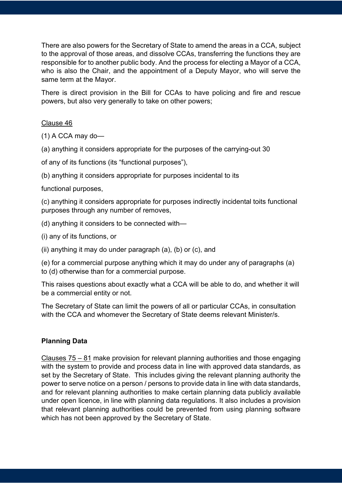There are also powers for the Secretary of State to amend the areas in a CCA, subject to the approval of those areas, and dissolve CCAs, transferring the functions they are responsible for to another public body. And the process for electing a Mayor of a CCA, who is also the Chair, and the appointment of a Deputy Mayor, who will serve the same term at the Mayor.

There is direct provision in the Bill for CCAs to have policing and fire and rescue powers, but also very generally to take on other powers;

# Clause 46

(1) A CCA may do—

(a) anything it considers appropriate for the purposes of the carrying-out 30

of any of its functions (its "functional purposes"),

(b) anything it considers appropriate for purposes incidental to its

functional purposes,

(c) anything it considers appropriate for purposes indirectly incidental toits functional purposes through any number of removes,

(d) anything it considers to be connected with—

(i) any of its functions, or

(ii) anything it may do under paragraph (a), (b) or (c), and

(e) for a commercial purpose anything which it may do under any of paragraphs (a) to (d) otherwise than for a commercial purpose.

This raises questions about exactly what a CCA will be able to do, and whether it will be a commercial entity or not.

The Secretary of State can limit the powers of all or particular CCAs, in consultation with the CCA and whomever the Secretary of State deems relevant Minister/s.

# **Planning Data**

Clauses 75 – 81 make provision for relevant planning authorities and those engaging with the system to provide and process data in line with approved data standards, as set by the Secretary of State. This includes giving the relevant planning authority the power to serve notice on a person / persons to provide data in line with data standards, and for relevant planning authorities to make certain planning data publicly available under open licence, in line with planning data regulations. It also includes a provision that relevant planning authorities could be prevented from using planning software which has not been approved by the Secretary of State.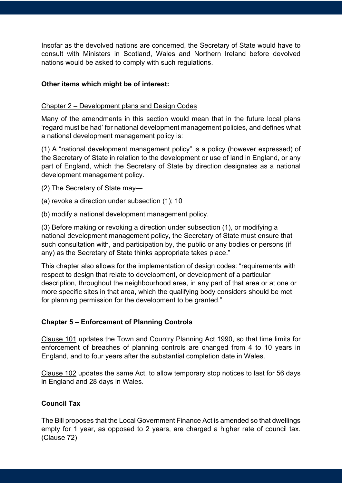Insofar as the devolved nations are concerned, the Secretary of State would have to consult with Ministers in Scotland, Wales and Northern Ireland before devolved nations would be asked to comply with such regulations.

# **Other items which might be of interest:**

#### Chapter 2 – Development plans and Design Codes

Many of the amendments in this section would mean that in the future local plans 'regard must be had' for national development management policies, and defines what a national development management policy is:

(1) A "national development management policy" is a policy (however expressed) of the Secretary of State in relation to the development or use of land in England, or any part of England, which the Secretary of State by direction designates as a national development management policy.

(2) The Secretary of State may—

(a) revoke a direction under subsection (1); 10

(b) modify a national development management policy.

(3) Before making or revoking a direction under subsection (1), or modifying a national development management policy, the Secretary of State must ensure that such consultation with, and participation by, the public or any bodies or persons (if any) as the Secretary of State thinks appropriate takes place."

This chapter also allows for the implementation of design codes: "requirements with respect to design that relate to development, or development of a particular description, throughout the neighbourhood area, in any part of that area or at one or more specific sites in that area, which the qualifying body considers should be met for planning permission for the development to be granted."

# **Chapter 5 – Enforcement of Planning Controls**

Clause 101 updates the Town and Country Planning Act 1990, so that time limits for enforcement of breaches of planning controls are changed from 4 to 10 years in England, and to four years after the substantial completion date in Wales.

Clause 102 updates the same Act, to allow temporary stop notices to last for 56 days in England and 28 days in Wales.

#### **Council Tax**

The Bill proposes that the Local Government Finance Act is amended so that dwellings empty for 1 year, as opposed to 2 years, are charged a higher rate of council tax. (Clause 72)